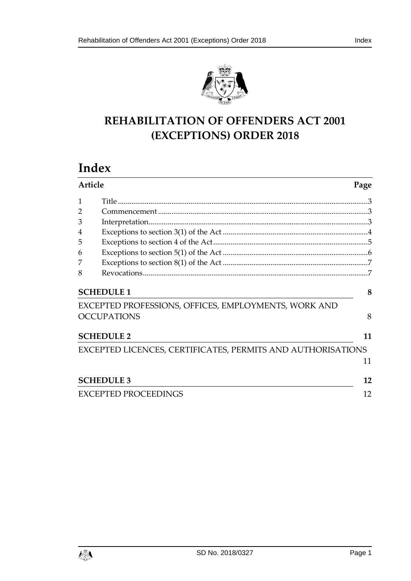

# **REHABILITATION OF OFFENDERS ACT 2001 (EXCEPTIONS) ORDER 2018**

# **Index**

| <b>Article</b>    |                                                             | Page |
|-------------------|-------------------------------------------------------------|------|
| 1                 |                                                             |      |
|                   |                                                             |      |
| 3                 |                                                             |      |
| 4                 |                                                             |      |
| 5                 |                                                             |      |
| 6                 |                                                             |      |
| 7                 |                                                             |      |
| 8                 |                                                             |      |
|                   | <b>SCHEDULE 1</b>                                           | 8    |
|                   | EXCEPTED PROFESSIONS, OFFICES, EMPLOYMENTS, WORK AND        |      |
|                   | <b>OCCUPATIONS</b>                                          | 8    |
|                   | <b>SCHEDULE 2</b>                                           | 11   |
|                   | EXCEPTED LICENCES, CERTIFICATES, PERMITS AND AUTHORISATIONS |      |
|                   |                                                             | 11   |
| <b>SCHEDULE 3</b> |                                                             | 12   |
|                   | <b>EXCEPTED PROCEEDINGS</b>                                 | 12   |

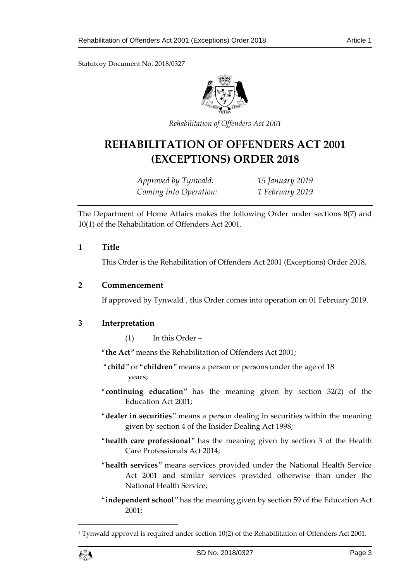Statutory Document No. 2018/0327



*Rehabilitation of Offenders Act 2001*

# **REHABILITATION OF OFFENDERS ACT 2001 (EXCEPTIONS) ORDER 2018**

*Approved by Tynwald: 15 January 2019 Coming into Operation: 1 February 2019*

The Department of Home Affairs makes the following Order under sections 8(7) and 10(1) of the Rehabilitation of Offenders Act 2001.

### <span id="page-2-0"></span>**1 Title**

This Order is the Rehabilitation of Offenders Act 2001 (Exceptions) Order 2018.

### <span id="page-2-1"></span>**2 Commencement**

If approved by Tynwald<sup>1</sup>, this Order comes into operation on 01 February 2019.

# <span id="page-2-2"></span>**3 Interpretation**

(1) In this Order –

"**the Act**" means the Rehabilitation of Offenders Act 2001;

- "**child**" or "**children**" means a person or persons under the age of 18 years;
- "**continuing education**" has the meaning given by section 32(2) of the Education Act 2001;
- "**dealer in securities**" means a person dealing in securities within the meaning given by section 4 of the Insider Dealing Act 1998;
- "**health care professional**" has the meaning given by section 3 of the Health Care Professionals Act 2014;
- "**health services**" means services provided under the National Health Service Act 2001 and similar services provided otherwise than under the National Health Service;
- "**independent school**" has the meaning given by section 59 of the Education Act 2001;

<sup>&</sup>lt;sup>1</sup> Tynwald approval is required under section  $10(2)$  of the Rehabilitation of Offenders Act 2001.



1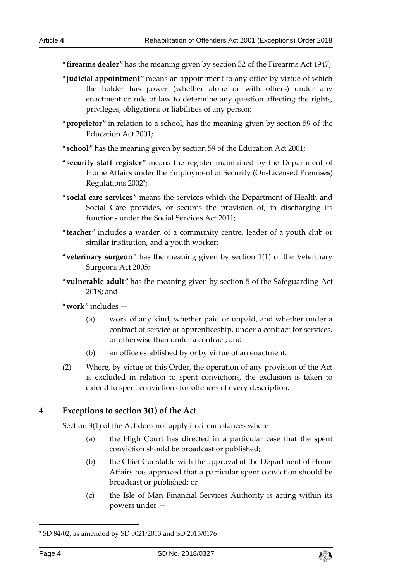"**firearms dealer**" has the meaning given by section 32 of the Firearms Act 1947;

- "**judicial appointment**" means an appointment to any office by virtue of which the holder has power (whether alone or with others) under any enactment or rule of law to determine any question affecting the rights, privileges, obligations or liabilities of any person;
- "**proprietor**" in relation to a school, has the meaning given by section 59 of the Education Act 2001;
- "**school**" has the meaning given by section 59 of the Education Act 2001;
- "**security staff register**" means the register maintained by the Department of Home Affairs under the Employment of Security (On-Licensed Premises) Regulations 2002<sup>2</sup> ;
- "**social care services**" means the services which the Department of Health and Social Care provides, or secures the provision of, in discharging its functions under the Social Services Act 2011;
- "**teacher**" includes a warden of a community centre, leader of a youth club or similar institution, and a youth worker;
- "**veterinary surgeon**" has the meaning given by section 1(1) of the Veterinary Surgeons Act 2005;
- "**vulnerable adult**" has the meaning given by section 5 of the Safeguarding Act 2018; and
- "**work**" includes
	- (a) work of any kind, whether paid or unpaid, and whether under a contract of service or apprenticeship, under a contract for services, or otherwise than under a contract; and
	- (b) an office established by or by virtue of an enactment.
- (2) Where, by virtue of this Order, the operation of any provision of the Act is excluded in relation to spent convictions, the exclusion is taken to extend to spent convictions for offences of every description.

### <span id="page-3-0"></span>**4 Exceptions to section 3(1) of the Act**

Section 3(1) of the Act does not apply in circumstances where  $-$ 

- (a) the High Court has directed in a particular case that the spent conviction should be broadcast or published;
- (b) the Chief Constable with the approval of the Department of Home Affairs has approved that a particular spent conviction should be broadcast or published; or
- (c) the Isle of Man Financial Services Authority is acting within its powers under —

-



<sup>2</sup> SD 84/02, as amended by SD 0021/2013 and SD 2015/0176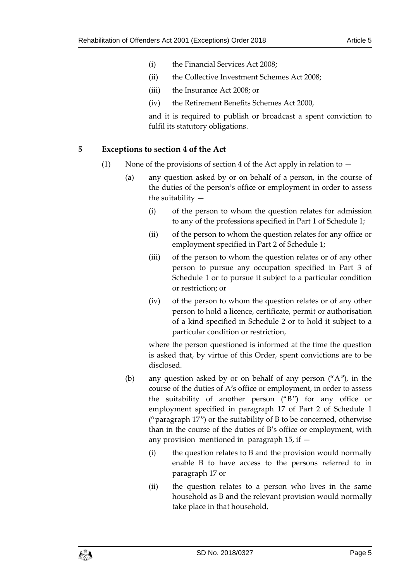- (i) the Financial Services Act 2008;
- (ii) the Collective Investment Schemes Act 2008;
- (iii) the Insurance Act 2008; or
- (iv) the Retirement Benefits Schemes Act 2000,

and it is required to publish or broadcast a spent conviction to fulfil its statutory obligations.

# <span id="page-4-0"></span>**5 Exceptions to section 4 of the Act**

- (1) None of the provisions of section 4 of the Act apply in relation to  $-$ 
	- (a) any question asked by or on behalf of a person, in the course of the duties of the person's office or employment in order to assess the suitability —
		- (i) of the person to whom the question relates for admission to any of the professions specified in Part 1 of Schedule 1;
		- (ii) of the person to whom the question relates for any office or employment specified in Part 2 of Schedule 1;
		- (iii) of the person to whom the question relates or of any other person to pursue any occupation specified in Part 3 of Schedule 1 or to pursue it subject to a particular condition or restriction; or
		- (iv) of the person to whom the question relates or of any other person to hold a licence, certificate, permit or authorisation of a kind specified in Schedule 2 or to hold it subject to a particular condition or restriction,

where the person questioned is informed at the time the question is asked that, by virtue of this Order, spent convictions are to be disclosed.

- (b) any question asked by or on behalf of any person ("A"), in the course of the duties of A's office or employment, in order to assess the suitability of another person ("B") for any office or employment specified in paragraph 17 of Part 2 of Schedule 1 ("paragraph 17") or the suitability of B to be concerned, otherwise than in the course of the duties of B's office or employment, with any provision mentioned in paragraph 15, if —
	- (i) the question relates to B and the provision would normally enable B to have access to the persons referred to in paragraph 17 or
	- (ii) the question relates to a person who lives in the same household as B and the relevant provision would normally take place in that household,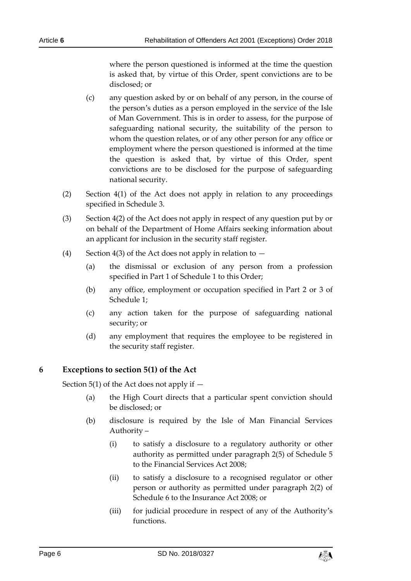where the person questioned is informed at the time the question is asked that, by virtue of this Order, spent convictions are to be disclosed; or

- (c) any question asked by or on behalf of any person, in the course of the person's duties as a person employed in the service of the Isle of Man Government. This is in order to assess, for the purpose of safeguarding national security, the suitability of the person to whom the question relates, or of any other person for any office or employment where the person questioned is informed at the time the question is asked that, by virtue of this Order, spent convictions are to be disclosed for the purpose of safeguarding national security.
- (2) Section 4(1) of the Act does not apply in relation to any proceedings specified in Schedule 3.
- (3) Section 4(2) of the Act does not apply in respect of any question put by or on behalf of the Department of Home Affairs seeking information about an applicant for inclusion in the security staff register.
- (4) Section 4(3) of the Act does not apply in relation to  $-$ 
	- (a) the dismissal or exclusion of any person from a profession specified in Part 1 of Schedule 1 to this Order;
	- (b) any office, employment or occupation specified in Part 2 or 3 of Schedule 1;
	- (c) any action taken for the purpose of safeguarding national security; or
	- (d) any employment that requires the employee to be registered in the security staff register.

### <span id="page-5-0"></span>**6 Exceptions to section 5(1) of the Act**

Section 5(1) of the Act does not apply if  $-$ 

- (a) the High Court directs that a particular spent conviction should be disclosed; or
- (b) disclosure is required by the Isle of Man Financial Services Authority –
	- (i) to satisfy a disclosure to a regulatory authority or other authority as permitted under paragraph 2(5) of Schedule 5 to the Financial Services Act 2008;
	- (ii) to satisfy a disclosure to a recognised regulator or other person or authority as permitted under paragraph 2(2) of Schedule 6 to the Insurance Act 2008; or
	- (iii) for judicial procedure in respect of any of the Authority's functions.

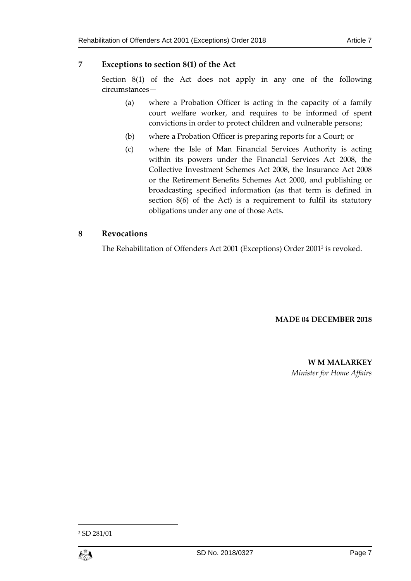# <span id="page-6-0"></span>**7 Exceptions to section 8(1) of the Act**

Section 8(1) of the Act does not apply in any one of the following circumstances—

- (a) where a Probation Officer is acting in the capacity of a family court welfare worker, and requires to be informed of spent convictions in order to protect children and vulnerable persons;
- (b) where a Probation Officer is preparing reports for a Court; or
- (c) where the Isle of Man Financial Services Authority is acting within its powers under the Financial Services Act 2008, the Collective Investment Schemes Act 2008, the Insurance Act 2008 or the Retirement Benefits Schemes Act 2000, and publishing or broadcasting specified information (as that term is defined in section 8(6) of the Act) is a requirement to fulfil its statutory obligations under any one of those Acts.

# <span id="page-6-1"></span>**8 Revocations**

The Rehabilitation of Offenders Act 2001 (Exceptions) Order 2001<sup>3</sup> is revoked.

### **MADE 04 DECEMBER 2018**

**W M MALARKEY** *Minister for Home Affairs*

<sup>3</sup> SD 281/01



1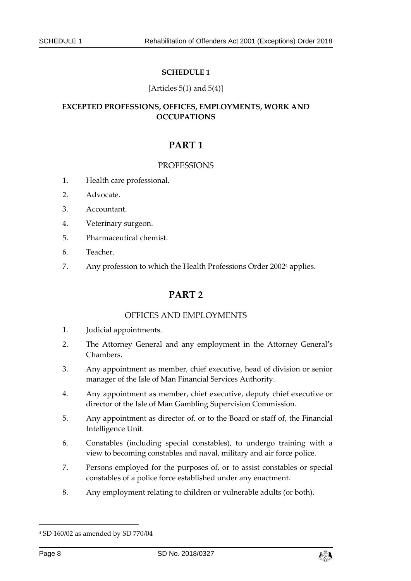### **SCHEDULE 1**

### [Articles  $5(1)$  and  $5(4)$ ]

## <span id="page-7-1"></span><span id="page-7-0"></span>**EXCEPTED PROFESSIONS, OFFICES, EMPLOYMENTS, WORK AND OCCUPATIONS**

# **PART 1**

### **PROFESSIONS**

- 1. Health care professional.
- 2. Advocate.
- 3. Accountant.
- 4. Veterinary surgeon.
- 5. Pharmaceutical chemist.
- 6. Teacher.
- 7. Any profession to which the Health Professions Order 2002<sup>4</sup> applies.

# **PART 2**

### OFFICES AND EMPLOYMENTS

- 1. Judicial appointments.
- 2. The Attorney General and any employment in the Attorney General's Chambers.
- 3. Any appointment as member, chief executive, head of division or senior manager of the Isle of Man Financial Services Authority.
- 4. Any appointment as member, chief executive, deputy chief executive or director of the Isle of Man Gambling Supervision Commission.
- 5. Any appointment as director of, or to the Board or staff of, the Financial Intelligence Unit.
- 6. Constables (including special constables), to undergo training with a view to becoming constables and naval, military and air force police.
- 7. Persons employed for the purposes of, or to assist constables or special constables of a police force established under any enactment.
- 8. Any employment relating to children or vulnerable adults (or both).

-



<sup>4</sup> SD 160/02 as amended by SD 770/04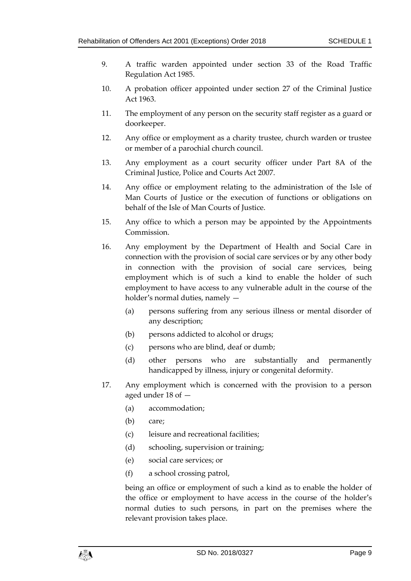- 9. A traffic warden appointed under section 33 of the Road Traffic Regulation Act 1985.
- 10. A probation officer appointed under section 27 of the Criminal Justice Act 1963.
- 11. The employment of any person on the security staff register as a guard or doorkeeper.
- 12. Any office or employment as a charity trustee, church warden or trustee or member of a parochial church council.
- 13. Any employment as a court security officer under Part 8A of the Criminal Justice, Police and Courts Act 2007.
- 14. Any office or employment relating to the administration of the Isle of Man Courts of Justice or the execution of functions or obligations on behalf of the Isle of Man Courts of Justice.
- 15. Any office to which a person may be appointed by the Appointments Commission.
- 16. Any employment by the Department of Health and Social Care in connection with the provision of social care services or by any other body in connection with the provision of social care services, being employment which is of such a kind to enable the holder of such employment to have access to any vulnerable adult in the course of the holder's normal duties, namely —
	- (a) persons suffering from any serious illness or mental disorder of any description;
	- (b) persons addicted to alcohol or drugs;
	- (c) persons who are blind, deaf or dumb;
	- (d) other persons who are substantially and permanently handicapped by illness, injury or congenital deformity.
- 17. Any employment which is concerned with the provision to a person aged under 18 of —
	- (a) accommodation;
	- (b) care;
	- (c) leisure and recreational facilities;
	- (d) schooling, supervision or training;
	- (e) social care services; or
	- (f) a school crossing patrol,

being an office or employment of such a kind as to enable the holder of the office or employment to have access in the course of the holder's normal duties to such persons, in part on the premises where the relevant provision takes place.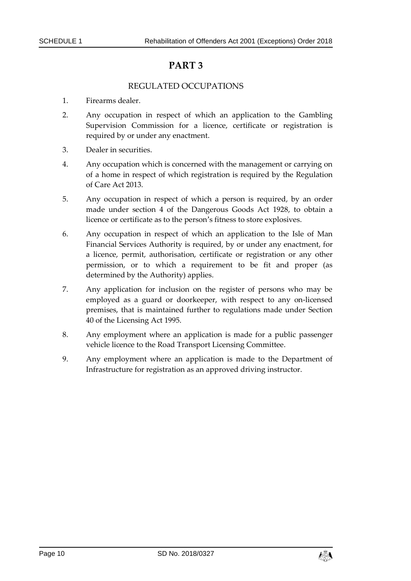# **PART 3**

### REGULATED OCCUPATIONS

- 1. Firearms dealer.
- 2. Any occupation in respect of which an application to the Gambling Supervision Commission for a licence, certificate or registration is required by or under any enactment.
- 3. Dealer in securities.
- 4. Any occupation which is concerned with the management or carrying on of a home in respect of which registration is required by the Regulation of Care Act 2013.
- 5. Any occupation in respect of which a person is required, by an order made under section 4 of the Dangerous Goods Act 1928, to obtain a licence or certificate as to the person's fitness to store explosives.
- 6. Any occupation in respect of which an application to the Isle of Man Financial Services Authority is required, by or under any enactment, for a licence, permit, authorisation, certificate or registration or any other permission, or to which a requirement to be fit and proper (as determined by the Authority) applies.
- 7. Any application for inclusion on the register of persons who may be employed as a guard or doorkeeper, with respect to any on-licensed premises, that is maintained further to regulations made under Section 40 of the Licensing Act 1995.
- 8. Any employment where an application is made for a public passenger vehicle licence to the Road Transport Licensing Committee.
- 9. Any employment where an application is made to the Department of Infrastructure for registration as an approved driving instructor.

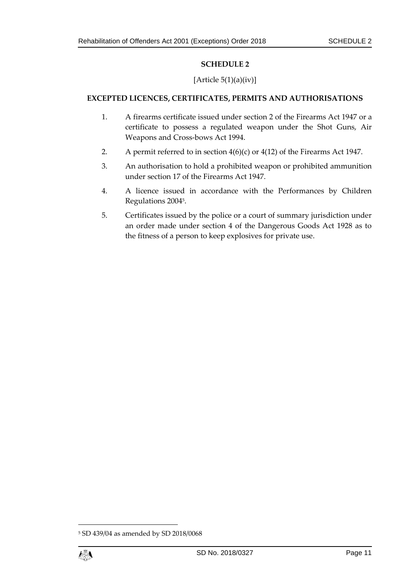### **SCHEDULE 2**

### [Article  $5(1)(a)(iv)$ ]

### <span id="page-10-1"></span><span id="page-10-0"></span>**EXCEPTED LICENCES, CERTIFICATES, PERMITS AND AUTHORISATIONS**

- 1. A firearms certificate issued under section 2 of the Firearms Act 1947 or a certificate to possess a regulated weapon under the Shot Guns, Air Weapons and Cross-bows Act 1994.
- 2. A permit referred to in section 4(6)(c) or 4(12) of the Firearms Act 1947.
- 3. An authorisation to hold a prohibited weapon or prohibited ammunition under section 17 of the Firearms Act 1947.
- 4. A licence issued in accordance with the Performances by Children Regulations 2004<sup>5</sup> .
- 5. Certificates issued by the police or a court of summary jurisdiction under an order made under section 4 of the Dangerous Goods Act 1928 as to the fitness of a person to keep explosives for private use.

<sup>5</sup> SD 439/04 as amended by SD 2018/0068



1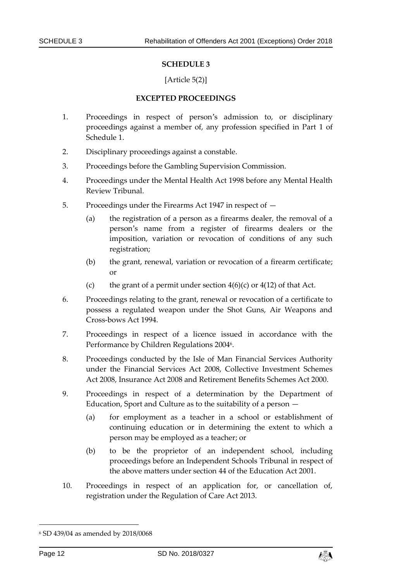#### **SCHEDULE 3**

### [Article 5(2)]

#### **EXCEPTED PROCEEDINGS**

- <span id="page-11-1"></span><span id="page-11-0"></span>1. Proceedings in respect of person's admission to, or disciplinary proceedings against a member of, any profession specified in Part 1 of Schedule 1.
- 2. Disciplinary proceedings against a constable.
- 3. Proceedings before the Gambling Supervision Commission.
- 4. Proceedings under the Mental Health Act 1998 before any Mental Health Review Tribunal.
- 5. Proceedings under the Firearms Act 1947 in respect of
	- (a) the registration of a person as a firearms dealer, the removal of a person's name from a register of firearms dealers or the imposition, variation or revocation of conditions of any such registration;
	- (b) the grant, renewal, variation or revocation of a firearm certificate; or
	- (c) the grant of a permit under section  $4(6)(c)$  or  $4(12)$  of that Act.
- 6. Proceedings relating to the grant, renewal or revocation of a certificate to possess a regulated weapon under the Shot Guns, Air Weapons and Cross-bows Act 1994.
- 7. Proceedings in respect of a licence issued in accordance with the Performance by Children Regulations 2004<sup>6</sup>.
- 8. Proceedings conducted by the Isle of Man Financial Services Authority under the Financial Services Act 2008, Collective Investment Schemes Act 2008, Insurance Act 2008 and Retirement Benefits Schemes Act 2000.
- 9. Proceedings in respect of a determination by the Department of Education, Sport and Culture as to the suitability of a person —
	- (a) for employment as a teacher in a school or establishment of continuing education or in determining the extent to which a person may be employed as a teacher; or
	- (b) to be the proprietor of an independent school, including proceedings before an Independent Schools Tribunal in respect of the above matters under section 44 of the Education Act 2001.
- 10. Proceedings in respect of an application for, or cancellation of, registration under the Regulation of Care Act 2013.

-



<sup>6</sup> SD 439/04 as amended by 2018/0068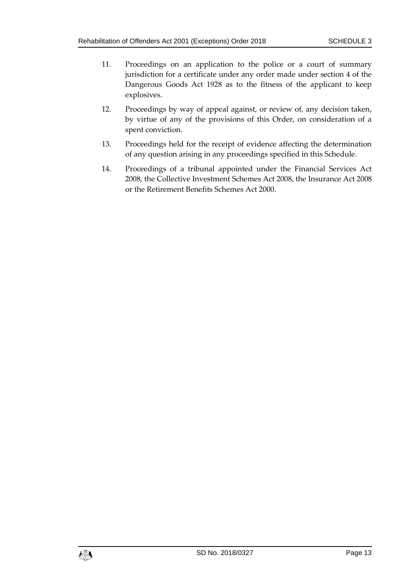- 11. Proceedings on an application to the police or a court of summary jurisdiction for a certificate under any order made under section 4 of the Dangerous Goods Act 1928 as to the fitness of the applicant to keep explosives.
- 12. Proceedings by way of appeal against, or review of, any decision taken, by virtue of any of the provisions of this Order, on consideration of a spent conviction.
- 13. Proceedings held for the receipt of evidence affecting the determination of any question arising in any proceedings specified in this Schedule.
- 14. Proceedings of a tribunal appointed under the Financial Services Act 2008, the Collective Investment Schemes Act 2008, the Insurance Act 2008 or the Retirement Benefits Schemes Act 2000.